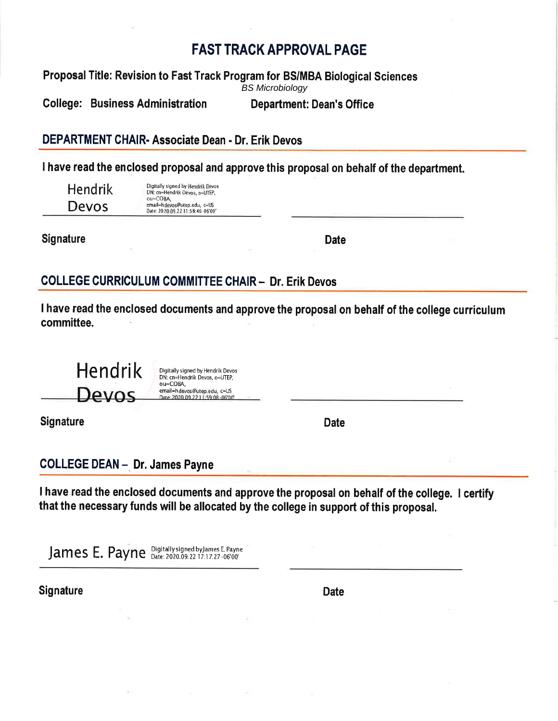# **FAST TRACK APPROVAL PAGE**

Proposal Title: Revision to Fast Track Program for BS/MBA Biological Sciences **BS Microbiology** 

**College: Business Administration Department: Dean's Office** 

DEPARTMENT CHAIR- Associate Dean - Dr. Erik Devos

I have read the enclosed proposal and approve this proposal on behalf of the department.

**Hendrik** Devos

Digitally signed by Hendrik Devos<br>DN: cn=Hendrik Devos, o=UTEP, ou=COBA, email=hdevos@utep.edu, c=US Date: 2020.09.22 11:58:46 06'00

**Signature** 

**Date** 

# **COLLEGE CURRICULUM COMMITTEE CHAIR - Dr. Erik Devos**

I have read the enclosed documents and approve the proposal on behalf of the college curriculum committee.

Hendrik Digitally signed by Hendrik Devos DN: cn=Hendrik Devos, o=UTEP, ou=COBA, email=hdevos@utep.edu, c=US Devos 2020 09 22 11:59:08

**Signature** 

**Date** 

**COLLEGE DEAN - Dr. James Payne** 

I have read the enclosed documents and approve the proposal on behalf of the college. I certify that the necessary funds will be allocated by the college in support of this proposal.

James E. Payne Digitally signed by James E. Payne

**Signature** 

**Date**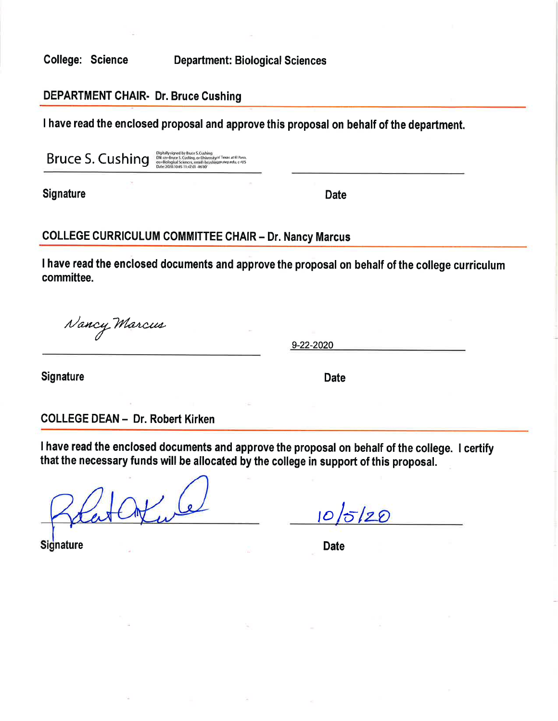**College: Science** 

**Department: Biological Sciences** 

### **DEPARTMENT CHAIR- Dr. Bruce Cushing**

I have read the enclosed proposal and approve this proposal on behalf of the department.

Bruce S. Cushing

Digitally signed by Bruce S. Cushing<br>DN: cm-Rinxe S. Cushing, or University of Texas at El Paso<br>ou=Biological Sciences, email chrushing@utep.edu, c=US<br>Date: 2020.10.05 11:47:01-06:00'

**Signature** 

**Date** 

## **COLLEGE CURRICULUM COMMITTEE CHAIR - Dr. Nancy Marcus**

I have read the enclosed documents and approve the proposal on behalf of the college curriculum committee.

Nancy Marcus

9-22-2020

**Signature** 

**Date** 

**COLLEGE DEAN - Dr. Robert Kirken** 

I have read the enclosed documents and approve the proposal on behalf of the college. I certify that the necessary funds will be allocated by the college in support of this proposal.

 $10/5/20$ 

**Signature** 

**Date**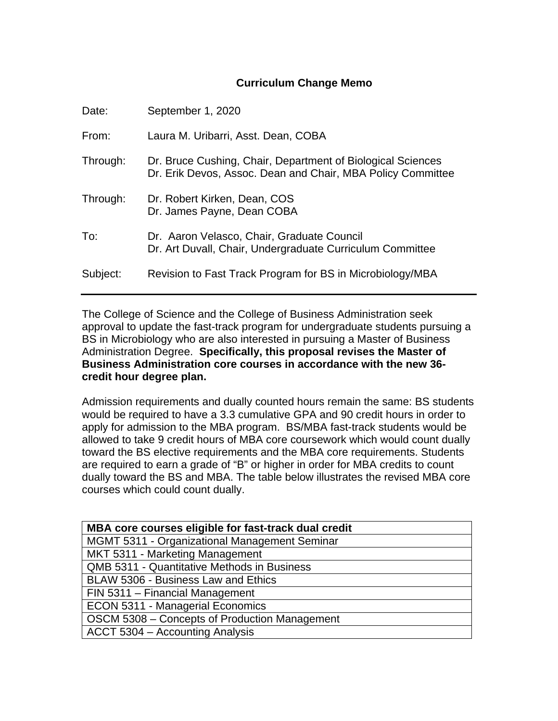#### **Curriculum Change Memo**

| Date:    | September 1, 2020                                                                                                          |
|----------|----------------------------------------------------------------------------------------------------------------------------|
| From:    | Laura M. Uribarri, Asst. Dean, COBA                                                                                        |
| Through: | Dr. Bruce Cushing, Chair, Department of Biological Sciences<br>Dr. Erik Devos, Assoc. Dean and Chair, MBA Policy Committee |
| Through: | Dr. Robert Kirken, Dean, COS<br>Dr. James Payne, Dean COBA                                                                 |
| To:      | Dr. Aaron Velasco, Chair, Graduate Council<br>Dr. Art Duvall, Chair, Undergraduate Curriculum Committee                    |
| Subject: | Revision to Fast Track Program for BS in Microbiology/MBA                                                                  |

The College of Science and the College of Business Administration seek approval to update the fast-track program for undergraduate students pursuing a BS in Microbiology who are also interested in pursuing a Master of Business Administration Degree. **Specifically, this proposal revises the Master of Business Administration core courses in accordance with the new 36 credit hour degree plan.**

Admission requirements and dually counted hours remain the same: BS students would be required to have a 3.3 cumulative GPA and 90 credit hours in order to apply for admission to the MBA program. BS/MBA fast-track students would be allowed to take 9 credit hours of MBA core coursework which would count dually toward the BS elective requirements and the MBA core requirements. Students are required to earn a grade of "B" or higher in order for MBA credits to count dually toward the BS and MBA. The table below illustrates the revised MBA core courses which could count dually.

| MBA core courses eligible for fast-track dual credit |  |  |
|------------------------------------------------------|--|--|
| MGMT 5311 - Organizational Management Seminar        |  |  |
| MKT 5311 - Marketing Management                      |  |  |
| QMB 5311 - Quantitative Methods in Business          |  |  |
| BLAW 5306 - Business Law and Ethics                  |  |  |
| FIN 5311 - Financial Management                      |  |  |
| <b>ECON 5311 - Managerial Economics</b>              |  |  |
| OSCM 5308 - Concepts of Production Management        |  |  |
| ACCT 5304 - Accounting Analysis                      |  |  |